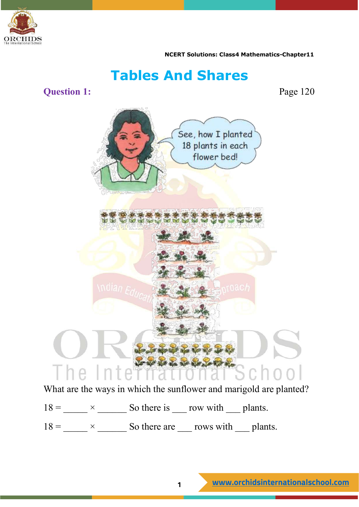

# **Tables And Shares**

**Question 1:** Page 120



What are the ways in which the sunflower and marigold are planted?

 $18 =$   $\times$   $\overline{\phantom{a}}$  So there is  $\overline{\phantom{a}}$  row with  $\overline{\phantom{a}}$  plants.

 $18 =$   $\frac{\text{N}}{\text{N}} \times \frac{\text{N}}{\text{N}}$  So there are  $\frac{\text{N}}{\text{N}}$  rows with  $\frac{\text{N}}{\text{N}}$  plants.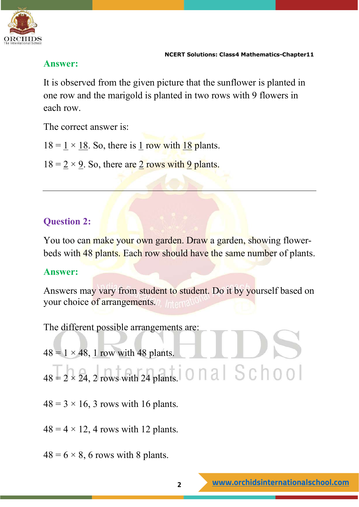

#### **Answer:**

It is observed from the given picture that the sunflower is planted in one row and the marigold is planted in two rows with 9 flowers in each row.

The correct answer is:

 $18 = 1 \times 18$ . So, there is 1 row with 18 plants.

 $18 = 2 \times 9$ . So, there are 2 rows with 9 plants.

# **Question 2:**

You too can make your own garden. Draw a garden, showing flowerbeds with 48 plants. Each row should have the same number of plants.

#### **Answer:**

Answers may vary from student to student. Do it by yourself based on your choice of arrangements. Internal

The different possible arrangements are:

- $48 = 1 \times 48$ , 1 row with 48 plants.
- $48 = 2 \times 24$ , 2 rows with 24 plants. 0 n a  $\mid S \cap \cap O \mid$
- $48 = 3 \times 16$ , 3 rows with 16 plants.
- $48 = 4 \times 12$ , 4 rows with 12 plants.
- $48 = 6 \times 8$ , 6 rows with 8 plants.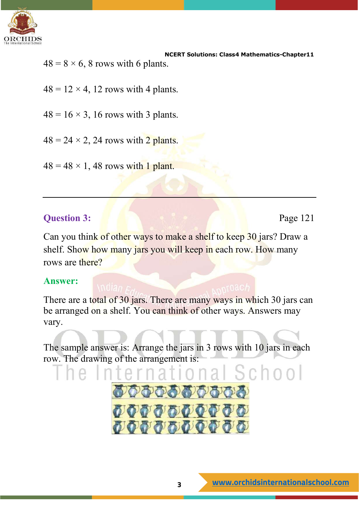

 **NCERT Solutions: Class4 Mathematics-Chapter11**  $48 = 8 \times 6$ , 8 rows with 6 plants.

- $48 = 12 \times 4$ , 12 rows with 4 plants.
- $48 = 16 \times 3$ , 16 rows with 3 plants.
- $48 = 24 \times 2$ , 24 rows with 2 plants.
- $48 = 48 \times 1$ , 48 rows with 1 plant.

#### **Question 3:** Page 121

Can you think of other ways to make a shelf to keep 30 jars? Draw a shelf. Show how many jars you will keep in each row. How many rows are there?

#### **Answer:**

There are a total of 30 jars. There are many ways in which 30 jars can be arranged on a shelf. You can think of other ways. Answers may vary.

The sample answer is: Arrange the jars in 3 rows with 10 jars in each row. The drawing of the arrangement is:

おのおおおおおおおお

QQQQQQQQQQ

*OOOOOOOOO* 

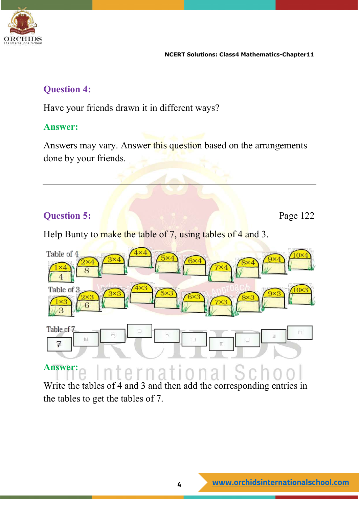

#### **Question 4:**

Have your friends drawn it in different ways?

#### **Answer:**

Answers may vary. Answer this question based on the arrangements done by your friends.

# **Question 5: Page 122**

Help Bunty to make the table of 7, using tables of 4 and 3.



#### **Answer:** national

Write the tables of 4 and 3 and then add the corresponding entries in the tables to get the tables of 7.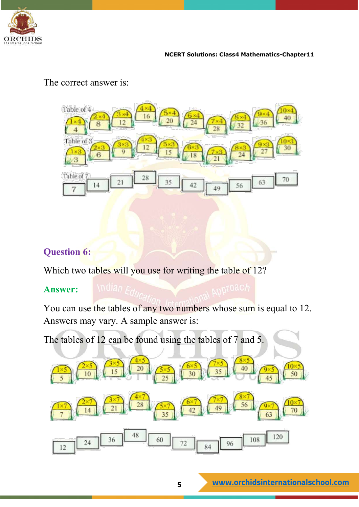



#### The correct answer is:

#### **Question 6:**

Which two tables will you use for writing the table of 12?

#### **Answer:**

You can use the tables of any two numbers whose sum is equal to 12. Answers may vary. A sample answer is:

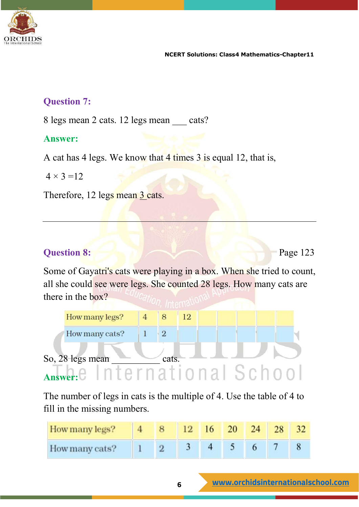

#### **Question 7:**

8 legs mean 2 cats. 12 legs mean cats?

#### **Answer:**

A cat has 4 legs. We know that 4 times 3 is equal 12, that is,

 $4 \times 3 = 12$ 

Therefore, 12 legs mean 3 cats.

#### **Question 8:** Page 123

Some of Gayatri's cats were playing in a box. When she tried to count, all she could see were legs. She counted 28 legs. How many cats are there in the box?



The number of legs in cats is the multiple of 4. Use the table of 4 to fill in the missing numbers.

| How many legs? |  |  | $16 \t 20$ | 24 |  |
|----------------|--|--|------------|----|--|
| How many cats? |  |  |            |    |  |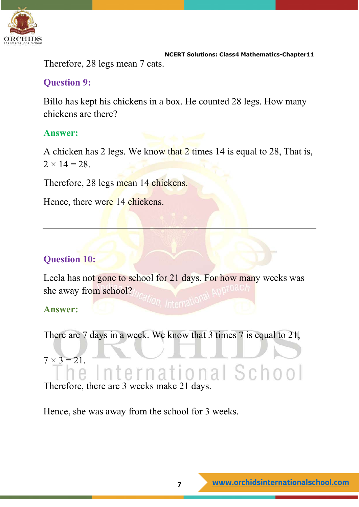

 **NCERT Solutions: Class4 Mathematics-Chapter11** Therefore, 28 legs mean 7 cats.

### **Question 9:**

Billo has kept his chickens in a box. He counted 28 legs. How many chickens are there?

# **Answer:**

A chicken has 2 legs. We know that 2 times 14 is equal to 28, That is,  $2 \times 14 = 28$ .

Therefore, 28 legs mean 14 chickens.

Hence, there were 14 chickens.

# **Question 10:**

Leela has not gone to school for 21 days. For how many weeks was she away from school?

**Answer:** 

```
There are 7 days in a week. We know that 3 times 7 is equal to 21,
```
 $7 \times 3 = 21$ . nternational School

Therefore, there are 3 weeks make 21 days.

Hence, she was away from the school for 3 weeks.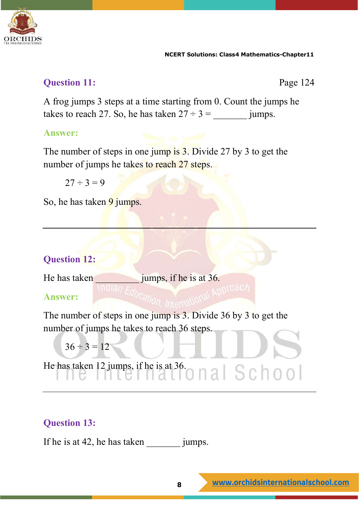

# **Question 11:** Page 124

A frog jumps 3 steps at a time starting from 0. Count the jumps he takes to reach 27. So, he has taken  $27 \div 3 =$  jumps.

# **Answer:**

The number of steps in one jump is 3. Divide 27 by 3 to get the number of jumps he takes to reach 27 steps.

 $27 \div 3 = 9$ 

So, he has taken 9 jumps.

# **Question 12:**

He has taken  $\frac{1}{2}$  jumps, if he is at 36.

#### **Answer:**

The number of steps in one jump is 3. Divide 36 by 3 to get the number of jumps he takes to reach 36 steps.

```
36 \div 3 = 12
```
He has taken 12 jumps, if he is at 36.  $\bigcap$   $\bigcap$   $\bigcap$   $\bigcap$   $\bigcap$   $\bigcap$   $\bigcap$   $\bigcap$   $\bigcap$   $\bigcap$   $\bigcap$   $\bigcap$   $\bigcap$   $\bigcap$   $\bigcap$   $\bigcap$   $\bigcap$   $\bigcap$   $\bigcap$   $\bigcap$   $\bigcap$   $\bigcap$   $\bigcap$   $\bigcap$   $\bigcap$   $\bigcap$   $\bigcap$   $\bigcap$   $\bigcap$   $\bigcap$   $\$ 

# **Question 13:**

If he is at 42, he has taken jumps.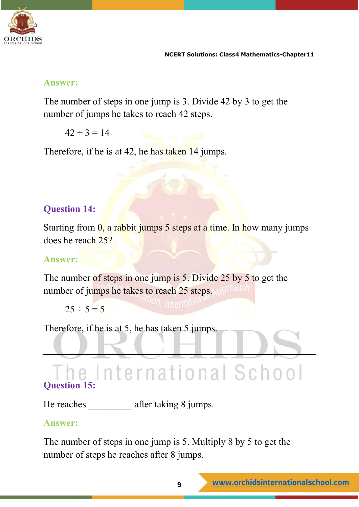

#### **Answer:**

The number of steps in one jump is 3. Divide 42 by 3 to get the number of jumps he takes to reach 42 steps.

 $42 \div 3 = 14$ 

Therefore, if he is at 42, he has taken 14 jumps.

# **Question 14:**

Starting from 0, a rabbit jumps 5 steps at a time. In how many jumps does he reach 25?

### **Answer:**

The number of steps in one jump is 5. Divide 25 by 5 to get the number of jumps he takes to reach 25 steps.

 $25 \div 5 = 5$ 

Therefore, if he is at 5, he has taken 5 jumps.

# The International School **Question 15:**

He reaches after taking 8 jumps.

#### **Answer:**

The number of steps in one jump is 5. Multiply 8 by 5 to get the number of steps he reaches after 8 jumps.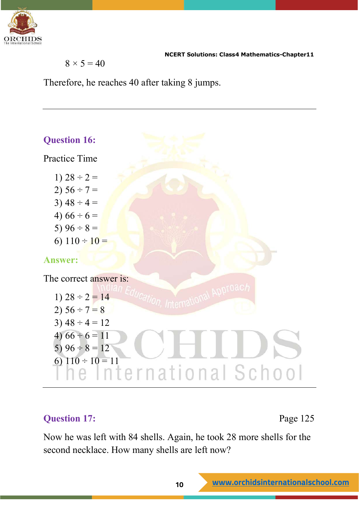

$$
8\times 5=40
$$

Therefore, he reaches 40 after taking 8 jumps.



#### **Question 17:** Page 125

Now he was left with 84 shells. Again, he took 28 more shells for the second necklace. How many shells are left now?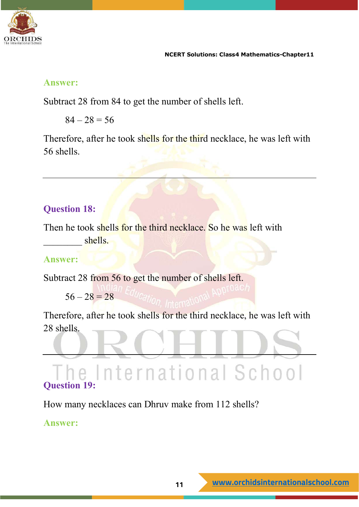

#### **Answer:**

Subtract 28 from 84 to get the number of shells left.

 $84 - 28 = 56$ 

Therefore, after he took shells for the third necklace, he was left with 56 shells.

# **Question 18:**

Then he took shells for the third necklace. So he was left with shells.

#### **Answer:**

Subtract 28 from 56 to get the number of shells left.

 $56 - 28 = 28$ 

Therefore, after he took shells for the third necklace, he was left with 28 shells.

# he International School **Question 19:**

How many necklaces can Dhruv make from 112 shells?

#### **Answer:**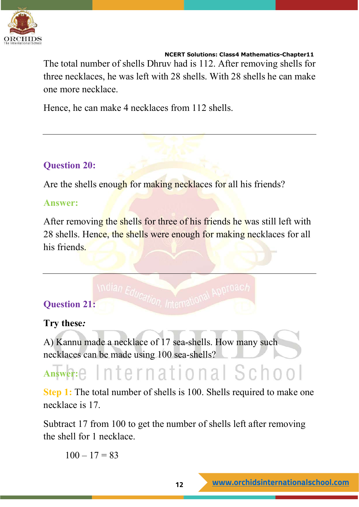

The total number of shells Dhruv had is 112. After removing shells for three necklaces, he was left with 28 shells. With 28 shells he can make one more necklace.

Hence, he can make 4 necklaces from 112 shells.

#### **Question 20:**

Are the shells enough for making necklaces for all his friends?

#### **Answer:**

After removing the shells for three of his friends he was still left with 28 shells. Hence, the shells were enough for making necklaces for all his friends.

# **Question 21:**

#### **Try these***:*

A) Kannu made a necklace of 17 sea-shells. How many such necklaces can be made using 100 sea-shells?

# Answer: International School

**Step 1:** The total number of shells is 100. Shells required to make one necklace is 17.

Subtract 17 from 100 to get the number of shells left after removing the shell for 1 necklace.

 $100 - 17 = 83$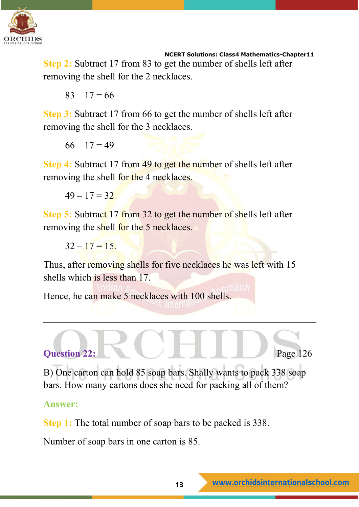

**Step 2:** Subtract 17 from 83 to get the number of shells left after removing the shell for the 2 necklaces.

 $83 - 17 = 66$ 

**Step 3:** Subtract 17 from 66 to get the number of shells left after removing the shell for the 3 necklaces.

 $66 - 17 = 49$ 

**Step 4:** Subtract 17 from 49 to get the number of shells left after removing the shell for the 4 necklaces.

 $49 - 17 = 32$ 

**Step 5:** Subtract 17 from 32 to get the number of shells left after removing the shell for the 5 necklaces.

 $32 - 17 = 15$ .

Thus, after removing shells for five necklaces he was left with 15 shells which is less than 17.

Hence, he can make 5 necklaces with 100 shells.



B) One carton can hold 85 soap bars. Shally wants to pack 338 soap bars. How many cartons does she need for packing all of them?

**Answer:**

**Step 1:** The total number of soap bars to be packed is 338.

Number of soap bars in one carton is 85.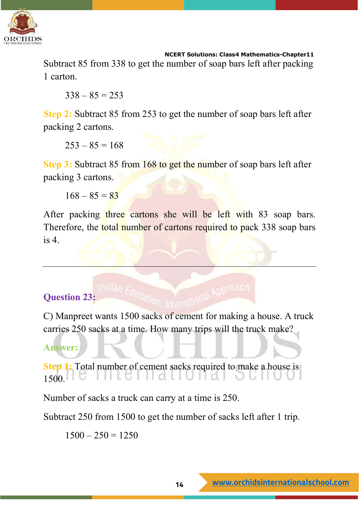

Subtract 85 from 338 to get the number of soap bars left after packing 1 carton.

 $338 - 85 = 253$ 

**Step 2:** Subtract 85 from 253 to get the number of soap bars left after packing 2 cartons.

 $253 - 85 = 168$ 

**Step 3:** Subtract 85 from 168 to get the number of soap bars left after packing 3 cartons.

 $168 - 85 = 83$ 

After packing three cartons she will be left with 83 soap bars. Therefore, the total number of cartons required to pack 338 soap bars is 4.

# **Question 23:**

C) Manpreet wants 1500 sacks of cement for making a house. A truck carries 250 sacks at a time. How many trips will the truck make?

# **Answer:**

**Step 1:** Total number of cement sacks required to make a house is  $1500.$  $\lceil\lceil d \rceil \rceil$ U $\lceil d \rceil$ 

Number of sacks a truck can carry at a time is 250.

Subtract 250 from 1500 to get the number of sacks left after 1 trip.

 $1500 - 250 = 1250$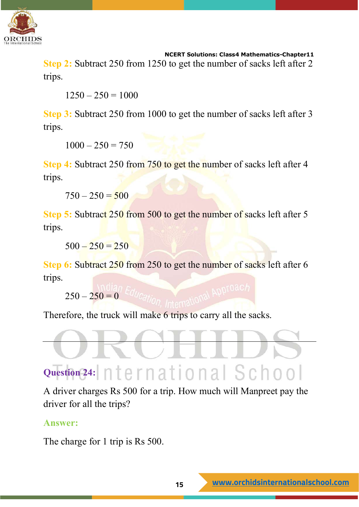

**Step 2:** Subtract 250 from 1250 to get the number of sacks left after 2 trips.

 $1250 - 250 = 1000$ 

**Step 3:** Subtract 250 from 1000 to get the number of sacks left after 3 trips.

 $1000 - 250 = 750$ 

**Step 4:** Subtract 250 from 750 to get the number of sacks left after 4 trips.

 $750 - 250 = 500$ 

**Step 5:** Subtract 250 from 500 to get the number of sacks left after 5 trips.

 $500 - 250 = 250$ 

**Step 6:** Subtract 250 from 250 to get the number of sacks left after 6 trips.

 $250 - 250 = 0$ 

Therefore, the truck will make 6 trips to carry all the sacks.



A driver charges Rs 500 for a trip. How much will Manpreet pay the driver for all the trips?

#### **Answer:**

The charge for 1 trip is Rs 500.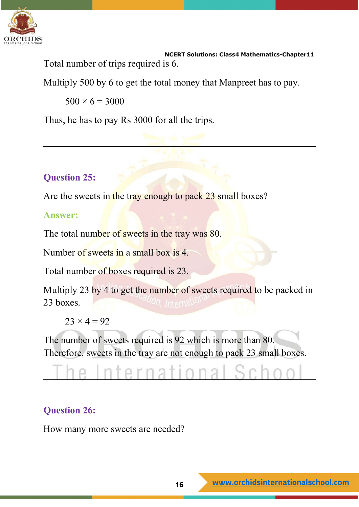

 **NCERT Solutions: Class4 Mathematics-Chapter11** Total number of trips required is 6.

Multiply 500 by 6 to get the total money that Manpreet has to pay.

 $500 \times 6 = 3000$ 

Thus, he has to pay Rs 3000 for all the trips.

# **Question 25:**

Are the sweets in the tray enough to pack 23 small boxes?

#### **Answer:**

The total number of sweets in the tray was 80.

Number of sweets in a small box is 4.

Total number of boxes required is 23.

Multiply 23 by 4 to get the number of sweets required to be packed in 23 boxes.

 $23 \times 4 = 92$ 

The number of sweets required is 92 which is more than 80. Therefore, sweets in the tray are not enough to pack 23 small boxes.

# rna

# **Question 26:**

How many more sweets are needed?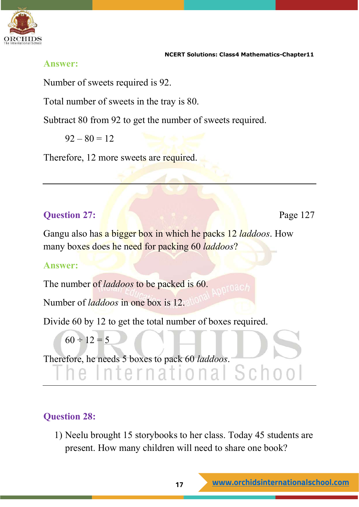

#### **Answer:**

Number of sweets required is 92.

Total number of sweets in the tray is 80.

Subtract 80 from 92 to get the number of sweets required.

 $92 - 80 = 12$ 

Therefore, 12 more sweets are required.

# **Question 27: Page 127**

Gangu also has a bigger box in which he packs 12 *laddoos*. How many boxes does he need for packing 60 *laddoos*?

#### **Answer:**

The number of *laddoos* to be packed is 60.

Number of *laddoos* in one box is 12.

Divide 60 by 12 to get the total number of boxes required.

 $60 \div 12 = 5$ 

Therefore, he needs 5 boxes to pack 60 *laddoos*.

# **Question 28:**

1) Neelu brought 15 storybooks to her class. Today 45 students are present. How many children will need to share one book?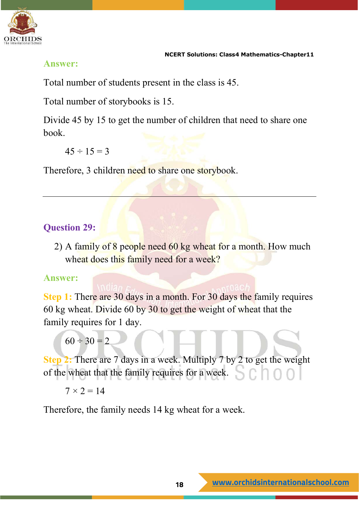

#### **Answer:**

Total number of students present in the class is 45.

Total number of storybooks is 15.

Divide 45 by 15 to get the number of children that need to share one book.

 $45 \div 15 = 3$ 

Therefore, 3 children need to share one storybook.

# **Question 29:**

2) A family of 8 people need 60 kg wheat for a month. How much wheat does this family need for a week?

#### **Answer:**

**Step 1:** There are 30 days in a month. For 30 days the family requires 60 kg wheat. Divide 60 by 30 to get the weight of wheat that the family requires for 1 day.

 $60 \div 30 = 2$ 

**Step 2:** There are 7 days in a week. Multiply 7 by 2 to get the weight of the wheat that the family requires for a week.

 $7 \times 2 = 14$ 

Therefore, the family needs 14 kg wheat for a week.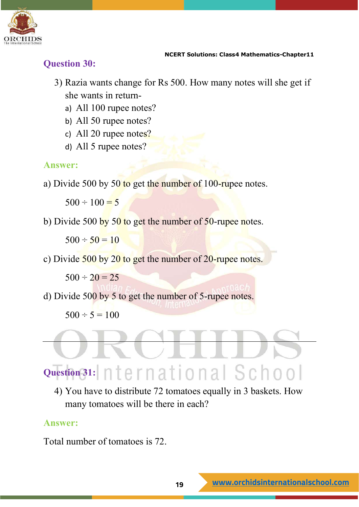

#### **Question 30:**

- 3) Razia wants change for Rs 500. How many notes will she get if she wants in return
	- a) All 100 rupee notes?
	- b) All 50 rupee notes?
	- c) All 20 rupee notes?
	- d) All 5 rupee notes?

#### **Answer:**

a) Divide 500 by 50 to get the number of  $100$ -rupee notes.

 $500 \div 100 = 5$ 

b) Divide 500 by 50 to get the number of 50-rupee notes.

 $500 \div 50 = 10$ 

c) Divide 500 by 20 to get the number of 20-rupee notes.

 $500 \div 20 = 25$ 

d) Divide 500 by 5 to get the number of 5-rupee notes.

 $500 \div 5 = 100$ 

# Question 31: nternational School

4) You have to distribute 72 tomatoes equally in 3 baskets. How many tomatoes will be there in each?

#### **Answer:**

Total number of tomatoes is 72.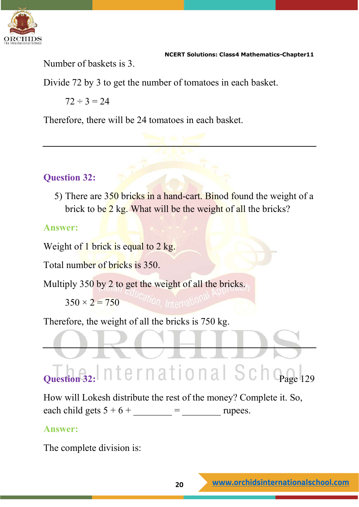

Number of baskets is 3.

Divide 72 by 3 to get the number of tomatoes in each basket.

 $72 \div 3 = 24$ 

Therefore, there will be 24 tomatoes in each basket.

# **Question 32:**

5) There are 350 bricks in a hand-cart. Binod found the weight of a brick to be 2 kg. What will be the weight of all the bricks?

#### **Answer:**

Weight of 1 brick is equal to 2 kg.

Total number of bricks is 350.

Multiply 350 by 2 to get the weight of all the bricks.

 $350 \times 2 = 750$  allon, Internation

Therefore, the weight of all the bricks is 750 kg.

# **Question 32:**  $n$  termational Scho<sub>page 129</sub>

How will Lokesh distribute the rest of the money? Complete it. So, each child gets  $5 + 6 +$  = rupees.

# **Answer:**

The complete division is: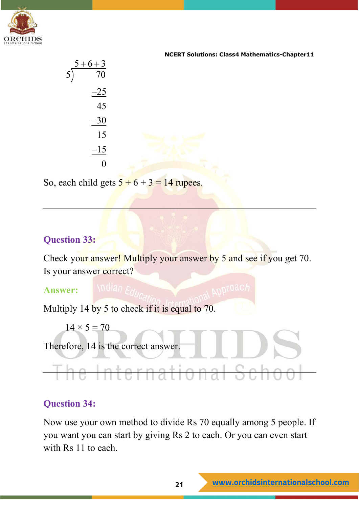

|   | $5+6+3$ |
|---|---------|
| 5 | 70      |
|   | $-25$   |
|   | 45      |
|   | $-30$   |
|   | 15      |
|   | $-15$   |
|   |         |

So, each child gets  $5 + 6 + 3 = 14$  rupees.

#### **Question 33:**

Check your answer! Multiply your answer by 5 and see if you get 70. Is your answer correct?

#### **Answer:**

Multiply 14 by 5 to check if it is equal to 70.

 $14 \times 5 = 70$ 

Therefore, 14 is the correct answer.

#### **Question 34:**

Now use your own method to divide Rs 70 equally among 5 people. If you want you can start by giving Rs 2 to each. Or you can even start with Rs 11 to each.

The International Sch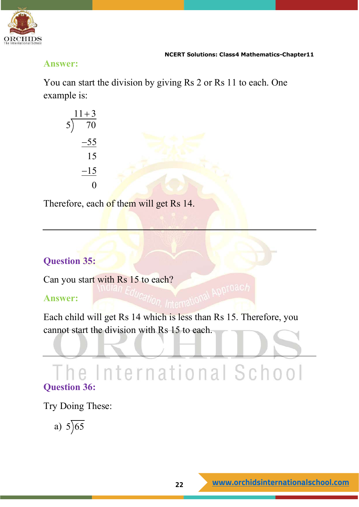

#### **Answer:**

You can start the division by giving Rs 2 or Rs 11 to each. One example is:

| $\frac{11+3}{70}$<br>$\overline{5}$ |  |
|-------------------------------------|--|
| $-55$                               |  |
| 15                                  |  |
| $-15$                               |  |
| 0                                   |  |

Therefore, each of them will get Rs 14.

# **Question 35:**

Can you start with Rs 15 to each?

#### **Answer:**

Each child will get Rs 14 which is less than Rs 15. Therefore, you cannot start the division with Rs 15 to each.

# The International School **Question 36:**

Try Doing These:

a)  $5\sqrt{65}$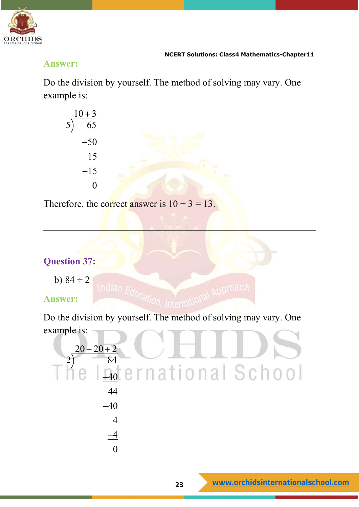

#### **Answer:**

Do the division by yourself. The method of solving may vary. One example is:

| $10 + 3$<br>$\overline{65}$<br>$\overline{5}$ |  |
|-----------------------------------------------|--|
| $-50$                                         |  |
| 15                                            |  |
| $-15$                                         |  |
| 0                                             |  |

Therefore, the correct answer is  $10 + 3 = 13$ .

# **Question 37:**

b)  $84 \div 2$ 

# **Answer:**

Do the division by yourself. The method of solving may vary. One example is:

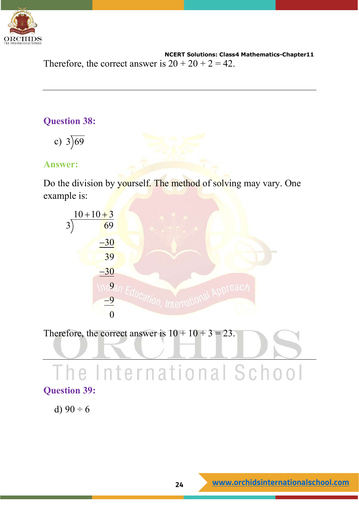

 **NCERT Solutions: Class4 Mathematics-Chapter11** Therefore, the correct answer is  $20 + 20 + 2 = 42$ .

#### **Question 38:**

c)  $3\overline{)69}$ 

#### **Answer:**

Do the division by yourself. The method of solving may vary. One example is:



Therefore, the correct answer is  $10 + 10 + 3 = 23$ . The International School **Question 39:**

d)  $90 \div 6$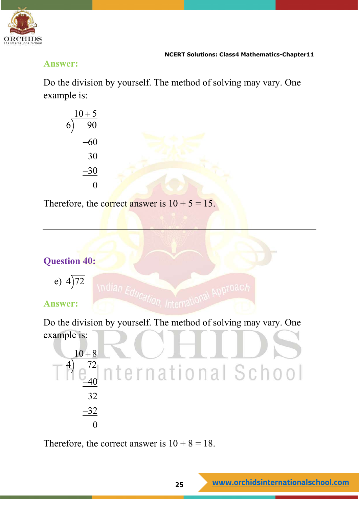

#### **Answer:**

Do the division by yourself. The method of solving may vary. One example is:

$$
\begin{array}{r} 10+5 \\ 6{\overline{\smash{\big)}\ 90}} \\ -60 \\ \hline 30 \\ -30 \\ \hline 0 \end{array}
$$

Therefore, the correct answer is  $10 + 5 = 15$ .

# **Question 40:**

$$
e) \ 4\overline{)72}
$$

# **Answer:**

Do the division by yourself. The method of solving may vary. One example is:



Therefore, the correct answer is  $10 + 8 = 18$ .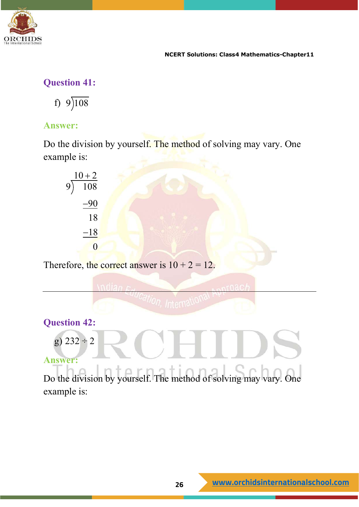

# **Question 41:**

f)  $9\overline{)108}$ 

### **Answer:**

Do the division by yourself. The method of solving may vary. One example is:



Therefore, the correct answer is  $10 + 2 = 12$ .

**Question 42:** g)  $232 \div 2$ **Answer:**

Do the division by yourself. The method of solving may vary. One example is: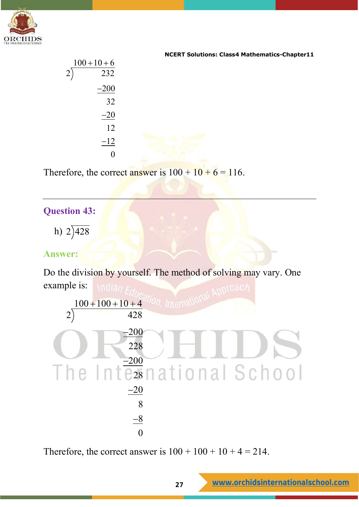

| <b>NCERT Solutions: Class4 Mathematics-Chapter11</b> |                |                |  |
|------------------------------------------------------|----------------|----------------|--|
|                                                      | $100 + 10 + 6$ |                |  |
|                                                      | 232            | $\overline{2}$ |  |
|                                                      | $-200$         |                |  |
|                                                      | 32             |                |  |
|                                                      | $-20$          |                |  |
|                                                      | 12             |                |  |
|                                                      | $-12$          |                |  |
|                                                      |                |                |  |

Therefore, the correct answer is  $100 + 10 + 6 = 116$ .

#### **Question 43:**

h)  $2)428$ 

#### **Answer:**

Do the division by yourself. The method of solving may vary. One example is:

 $100 + 100 + 10 + 4$  $2) \t\t 428$  $-200$ 228  $-200$  $\frac{200}{28}$ national School  $-20$ 8  $-8$  $\Omega$ 

Therefore, the correct answer is  $100 + 100 + 10 + 4 = 214$ .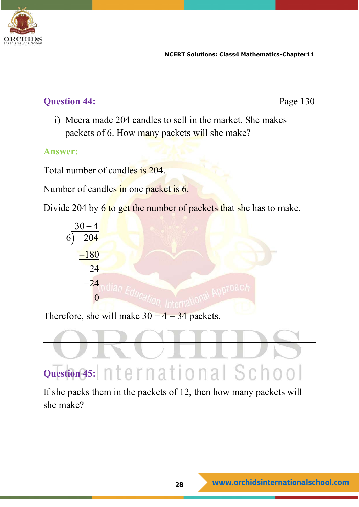

# **Ouestion 44:** Page 130

i) Meera made 204 candles to sell in the market. She makes packets of 6. How many packets will she make?

#### **Answer:**

Total number of candles is 204.

Number of candles in one packet is 6.

Divide 204 by 6 to get the number of packets that she has to make.



Therefore, she will make  $30 + 4 = 34$  packets.



If she packs them in the packets of 12, then how many packets will she make?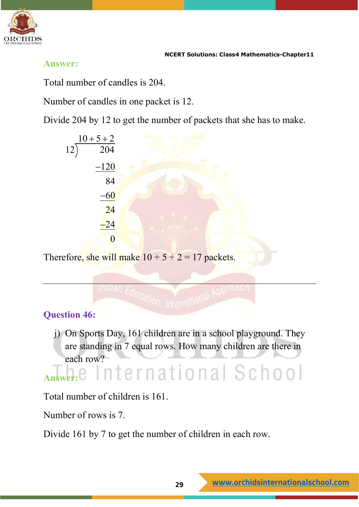

#### **Answer:**

Total number of candles is 204.

Number of candles in one packet is 12.

Divide 204 by 12 to get the number of packets that she has to make.

$$
\begin{array}{r}\n10+5+2 \\
12{\overline{\smash{\big)}\,204}} \\
-120 \\
\hline\n84 \\
-60 \\
\hline\n24 \\
-24 \\
\hline\n0\n\end{array}
$$

Therefore, she will make  $10 + 5 + 2 = 17$  packets.



j) On Sports Day, 161 children are in a school playground. They are standing in 7 equal rows. How many children are there in each row?

# **A.e** International School

Total number of children is 161.

Number of rows is 7.

Divide 161 by 7 to get the number of children in each row.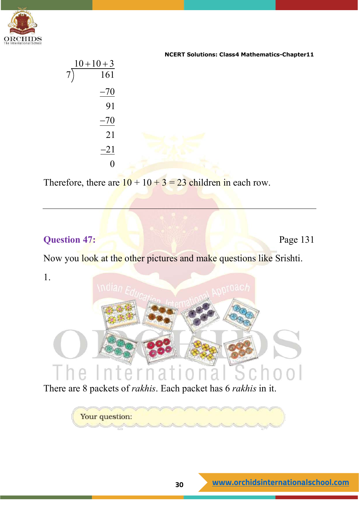

| <b>NCERT Solutions: Class4 Mathematics-Chapter11</b> |  |
|------------------------------------------------------|--|
|                                                      |  |
|                                                      |  |
|                                                      |  |
|                                                      |  |
|                                                      |  |
|                                                      |  |
|                                                      |  |
|                                                      |  |
|                                                      |  |

Therefore, there are  $10 + 10 + 3 = 23$  children in each row.

### **Question 47:** Page 131

Now you look at the other pictures and make questions like Srishti.

1.



There are 8 packets of *rakhis*. Each packet has 6 *rakhis* in it.

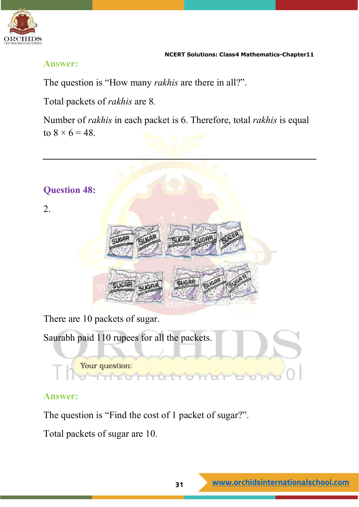

#### **Answer:**

The question is "How many *rakhis* are there in all?".

Total packets of *rakhis* are 8*.*

Number of *rakhis* in each packet is 6. Therefore, total *rakhis* is equal to  $8 \times 6 = 48$ .



#### **Answer:**

The question is "Find the cost of 1 packet of sugar?".

Total packets of sugar are 10.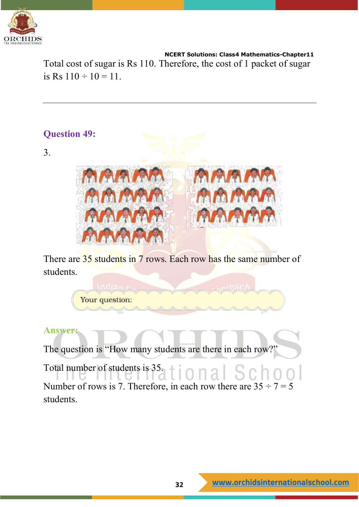

Total cost of sugar is Rs 110. Therefore, the cost of 1 packet of sugar is Rs  $110 \div 10 = 11$ .



3.



There are 35 students in 7 rows. Each row has the same number of students.

Your question:

#### **Answer:**

The question is "How many students are there in each row?"

Total number of students is 35. tional School Number of rows is 7. Therefore, in each row there are  $35 \div 7 = 5$ students.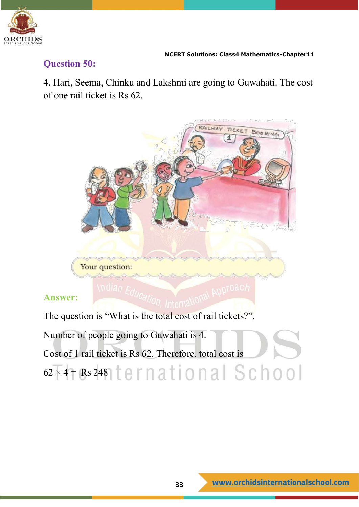

#### **Question 50:**

4. Hari, Seema, Chinku and Lakshmi are going to Guwahati. The cost of one rail ticket is Rs 62.



#### **Answer:**

The question is "What is the total cost of rail tickets?".

Number of people going to Guwahati is 4. Cost of 1 rail ticket is Rs 62. Therefore, total cost is  $62 \times 4 =$ Rs 248 ternational School